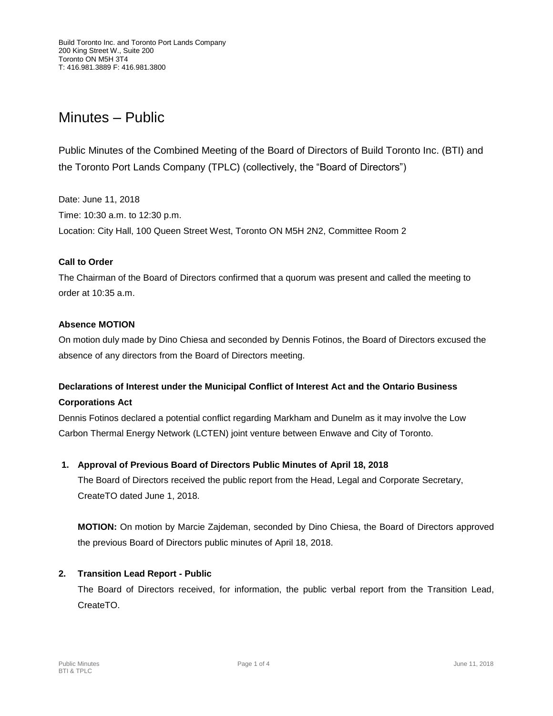# Minutes – Public

Public Minutes of the Combined Meeting of the Board of Directors of Build Toronto Inc. (BTI) and the Toronto Port Lands Company (TPLC) (collectively, the "Board of Directors")

Date: June 11, 2018 Time: 10:30 a.m. to 12:30 p.m. Location: City Hall, 100 Queen Street West, Toronto ON M5H 2N2, Committee Room 2

## **Call to Order**

The Chairman of the Board of Directors confirmed that a quorum was present and called the meeting to order at 10:35 a.m.

## **Absence MOTION**

On motion duly made by Dino Chiesa and seconded by Dennis Fotinos, the Board of Directors excused the absence of any directors from the Board of Directors meeting.

## **Declarations of Interest under the Municipal Conflict of Interest Act and the Ontario Business Corporations Act**

Dennis Fotinos declared a potential conflict regarding Markham and Dunelm as it may involve the Low Carbon Thermal Energy Network (LCTEN) joint venture between Enwave and City of Toronto.

#### **1. Approval of Previous Board of Directors Public Minutes of April 18, 2018**

The Board of Directors received the public report from the Head, Legal and Corporate Secretary, CreateTO dated June 1, 2018.

**MOTION:** On motion by Marcie Zajdeman, seconded by Dino Chiesa, the Board of Directors approved the previous Board of Directors public minutes of April 18, 2018.

## **2. Transition Lead Report - Public**

The Board of Directors received, for information, the public verbal report from the Transition Lead, CreateTO.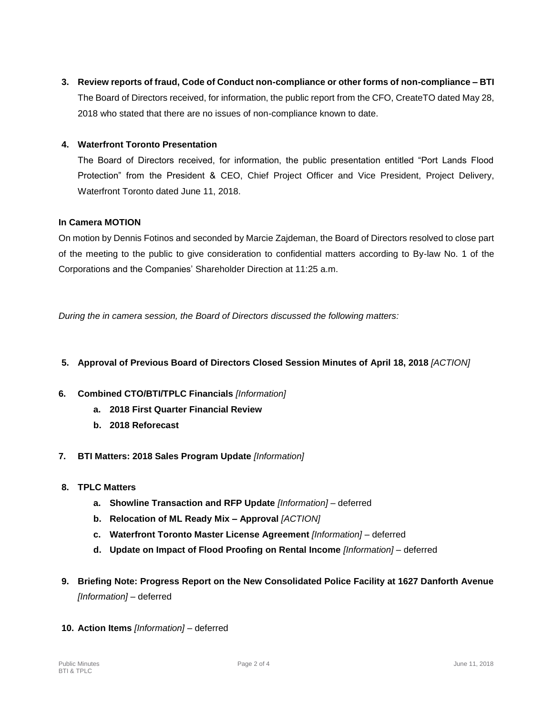**3. Review reports of fraud, Code of Conduct non-compliance or other forms of non-compliance – BTI** The Board of Directors received, for information, the public report from the CFO, CreateTO dated May 28, 2018 who stated that there are no issues of non-compliance known to date.

#### **4. Waterfront Toronto Presentation**

The Board of Directors received, for information, the public presentation entitled "Port Lands Flood Protection" from the President & CEO, Chief Project Officer and Vice President, Project Delivery, Waterfront Toronto dated June 11, 2018.

#### **In Camera MOTION**

On motion by Dennis Fotinos and seconded by Marcie Zajdeman, the Board of Directors resolved to close part of the meeting to the public to give consideration to confidential matters according to By-law No. 1 of the Corporations and the Companies' Shareholder Direction at 11:25 a.m.

*During the in camera session, the Board of Directors discussed the following matters:*

#### **5. Approval of Previous Board of Directors Closed Session Minutes of April 18, 2018** *[ACTION]*

- **6. Combined CTO/BTI/TPLC Financials** *[Information]*
	- **a. 2018 First Quarter Financial Review**
	- **b. 2018 Reforecast**
- **7. BTI Matters: 2018 Sales Program Update** *[Information]*
- **8. TPLC Matters**
	- **a. Showline Transaction and RFP Update** *[Information]* deferred
	- **b. Relocation of ML Ready Mix – Approval** *[ACTION]*
	- **c. Waterfront Toronto Master License Agreement** *[Information]* deferred
	- **d. Update on Impact of Flood Proofing on Rental Income** *[Information]* deferred
- **9. Briefing Note: Progress Report on the New Consolidated Police Facility at 1627 Danforth Avenue**  *[Information]* – deferred
- **10. Action Items** *[Information]* deferred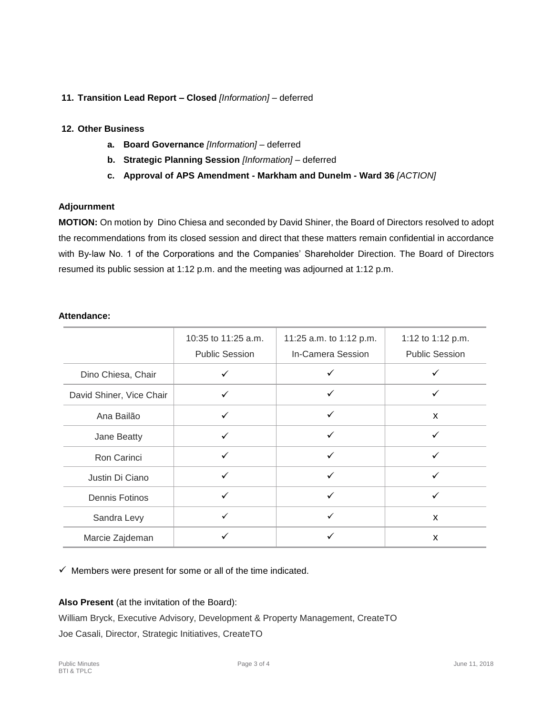## **11. Transition Lead Report – Closed** *[Information]* – deferred

#### **12. Other Business**

- **a. Board Governance** *[Information]* deferred
- **b. Strategic Planning Session** *[Information]* deferred
- **c. Approval of APS Amendment - Markham and Dunelm - Ward 36** *[ACTION]*

#### **Adjournment**

**MOTION:** On motion by Dino Chiesa and seconded by David Shiner, the Board of Directors resolved to adopt the recommendations from its closed session and direct that these matters remain confidential in accordance with By-law No. 1 of the Corporations and the Companies' Shareholder Direction. The Board of Directors resumed its public session at 1:12 p.m. and the meeting was adjourned at 1:12 p.m.

|                          | 10:35 to 11:25 a.m.<br><b>Public Session</b> | 11:25 a.m. to 1:12 p.m.<br>In-Camera Session | 1:12 to 1:12 p.m.<br><b>Public Session</b> |
|--------------------------|----------------------------------------------|----------------------------------------------|--------------------------------------------|
| Dino Chiesa, Chair       | ✓                                            |                                              |                                            |
| David Shiner, Vice Chair | ✓                                            | ✓                                            | ✓                                          |
| Ana Bailão               | ✓                                            | ✓                                            | X                                          |
| Jane Beatty              | ✓                                            | ✓                                            | ✓                                          |
| Ron Carinci              | ✓                                            | ✓                                            |                                            |
| Justin Di Ciano          | ✓                                            | ✓                                            | ✓                                          |
| Dennis Fotinos           | ✓                                            | $\checkmark$                                 | ✓                                          |
| Sandra Levy              | ✓                                            | $\checkmark$                                 | X                                          |
| Marcie Zajdeman          |                                              |                                              | X                                          |

## **Attendance:**

 $\checkmark$  Members were present for some or all of the time indicated.

#### **Also Present** (at the invitation of the Board):

William Bryck, Executive Advisory, Development & Property Management, CreateTO

Joe Casali, Director, Strategic Initiatives, CreateTO